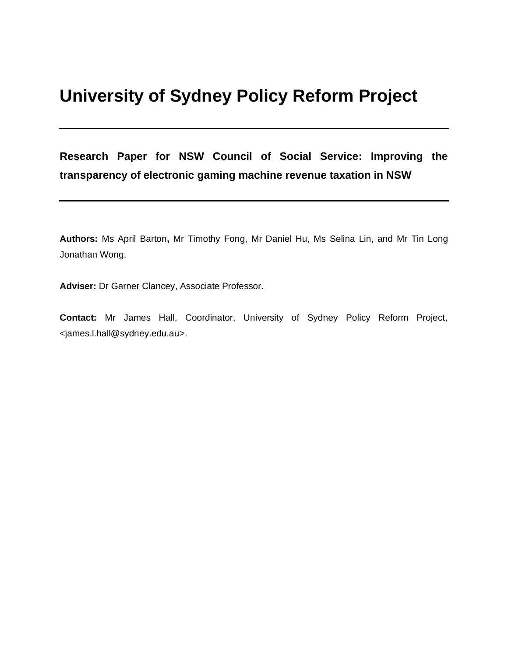# **University of Sydney Policy Reform Project**

**Research Paper for NSW Council of Social Service: Improving the transparency of electronic gaming machine revenue taxation in NSW**

**Authors:** Ms April Barton**,** Mr Timothy Fong, Mr Daniel Hu, Ms Selina Lin, and Mr Tin Long Jonathan Wong.

**Adviser:** Dr Garner Clancey, Associate Professor.

**Contact:** Mr James Hall, Coordinator, University of Sydney Policy Reform Project, <james.l.hall@sydney.edu.au>.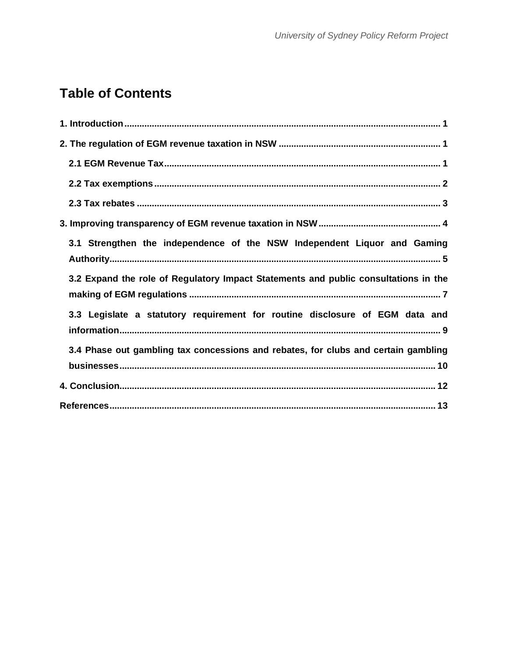## **Table of Contents**

| 3.1 Strengthen the independence of the NSW Independent Liquor and Gaming            |
|-------------------------------------------------------------------------------------|
| 3.2 Expand the role of Regulatory Impact Statements and public consultations in the |
| 3.3 Legislate a statutory requirement for routine disclosure of EGM data and        |
| 3.4 Phase out gambling tax concessions and rebates, for clubs and certain gambling  |
|                                                                                     |
|                                                                                     |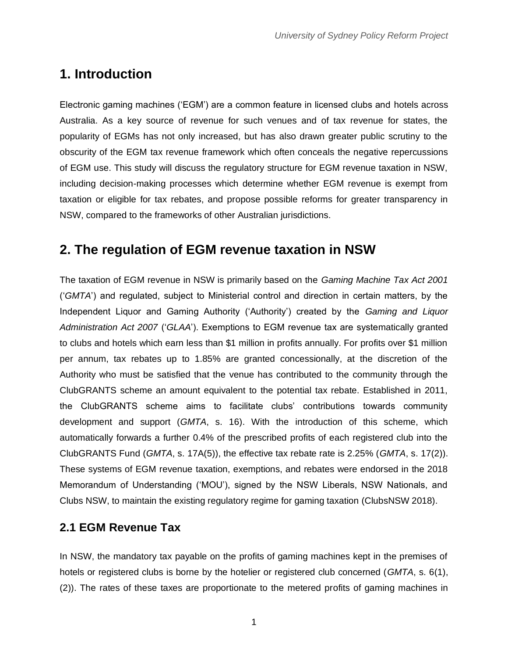### <span id="page-2-0"></span>**1. Introduction**

Electronic gaming machines ('EGM') are a common feature in licensed clubs and hotels across Australia. As a key source of revenue for such venues and of tax revenue for states, the popularity of EGMs has not only increased, but has also drawn greater public scrutiny to the obscurity of the EGM tax revenue framework which often conceals the negative repercussions of EGM use. This study will discuss the regulatory structure for EGM revenue taxation in NSW, including decision-making processes which determine whether EGM revenue is exempt from taxation or eligible for tax rebates, and propose possible reforms for greater transparency in NSW, compared to the frameworks of other Australian jurisdictions.

### <span id="page-2-1"></span>**2. The regulation of EGM revenue taxation in NSW**

The taxation of EGM revenue in NSW is primarily based on the *Gaming Machine Tax Act 2001*  ('*GMTA*') and regulated, subject to Ministerial control and direction in certain matters, by the Independent Liquor and Gaming Authority ('Authority') created by the *Gaming and Liquor Administration Act 2007* ('*GLAA*'). Exemptions to EGM revenue tax are systematically granted to clubs and hotels which earn less than \$1 million in profits annually. For profits over \$1 million per annum, tax rebates up to 1.85% are granted concessionally, at the discretion of the Authority who must be satisfied that the venue has contributed to the community through the ClubGRANTS scheme an amount equivalent to the potential tax rebate. Established in 2011, the ClubGRANTS scheme aims to facilitate clubs' contributions towards community development and support (*GMTA*, s. 16). With the introduction of this scheme, which automatically forwards a further 0.4% of the prescribed profits of each registered club into the ClubGRANTS Fund (*GMTA*, s. 17A(5)), the effective tax rebate rate is 2.25% (*GMTA*, s. 17(2)). These systems of EGM revenue taxation, exemptions, and rebates were endorsed in the 2018 Memorandum of Understanding ('MOU'), signed by the NSW Liberals, NSW Nationals, and Clubs NSW, to maintain the existing regulatory regime for gaming taxation (ClubsNSW 2018).

#### <span id="page-2-2"></span>**2.1 EGM Revenue Tax**

In NSW, the mandatory tax payable on the profits of gaming machines kept in the premises of hotels or registered clubs is borne by the hotelier or registered club concerned (*GMTA*, s. 6(1), (2)). The rates of these taxes are proportionate to the metered profits of gaming machines in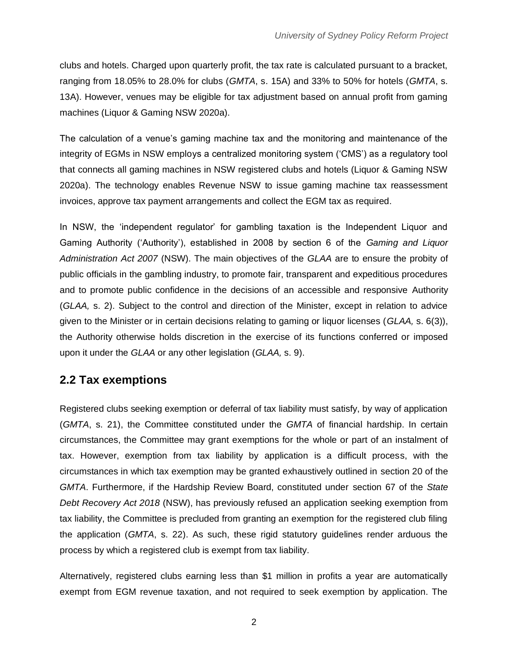clubs and hotels. Charged upon quarterly profit, the tax rate is calculated pursuant to a bracket, ranging from 18.05% to 28.0% for clubs (*GMTA*, s. 15A) and 33% to 50% for hotels (*GMTA*, s. 13A). However, venues may be eligible for tax adjustment based on annual profit from gaming machines (Liquor & Gaming NSW 2020a).

The calculation of a venue's gaming machine tax and the monitoring and maintenance of the integrity of EGMs in NSW employs a centralized monitoring system ('CMS') as a regulatory tool that connects all gaming machines in NSW registered clubs and hotels (Liquor & Gaming NSW 2020a). The technology enables Revenue NSW to issue gaming machine tax reassessment invoices, approve tax payment arrangements and collect the EGM tax as required.

In NSW, the 'independent regulator' for gambling taxation is the Independent Liquor and Gaming Authority ('Authority'), established in 2008 by section 6 of the *Gaming and Liquor Administration Act 2007* (NSW). The main objectives of the *GLAA* are to ensure the probity of public officials in the gambling industry, to promote fair, transparent and expeditious procedures and to promote public confidence in the decisions of an accessible and responsive Authority (*GLAA,* s. 2). Subject to the control and direction of the Minister, except in relation to advice given to the Minister or in certain decisions relating to gaming or liquor licenses (*GLAA,* s. 6(3)), the Authority otherwise holds discretion in the exercise of its functions conferred or imposed upon it under the *GLAA* or any other legislation (*GLAA,* s. 9).

### <span id="page-3-0"></span>**2.2 Tax exemptions**

Registered clubs seeking exemption or deferral of tax liability must satisfy, by way of application (*GMTA*, s. 21), the Committee constituted under the *GMTA* of financial hardship. In certain circumstances, the Committee may grant exemptions for the whole or part of an instalment of tax. However, exemption from tax liability by application is a difficult process, with the circumstances in which tax exemption may be granted exhaustively outlined in section 20 of the *GMTA*. Furthermore, if the Hardship Review Board, constituted under section 67 of the *State Debt Recovery Act 2018* (NSW), has previously refused an application seeking exemption from tax liability, the Committee is precluded from granting an exemption for the registered club filing the application (*GMTA*, s. 22). As such, these rigid statutory guidelines render arduous the process by which a registered club is exempt from tax liability.

Alternatively, registered clubs earning less than \$1 million in profits a year are automatically exempt from EGM revenue taxation, and not required to seek exemption by application. The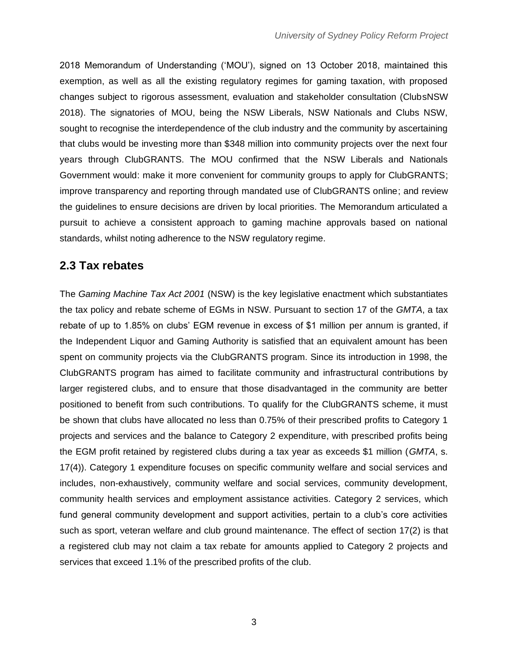2018 Memorandum of Understanding ('MOU'), signed on 13 October 2018, maintained this exemption, as well as all the existing regulatory regimes for gaming taxation, with proposed changes subject to rigorous assessment, evaluation and stakeholder consultation (ClubsNSW 2018). The signatories of MOU, being the NSW Liberals, NSW Nationals and Clubs NSW, sought to recognise the interdependence of the club industry and the community by ascertaining that clubs would be investing more than \$348 million into community projects over the next four years through ClubGRANTS. The MOU confirmed that the NSW Liberals and Nationals Government would: make it more convenient for community groups to apply for ClubGRANTS; improve transparency and reporting through mandated use of ClubGRANTS online; and review the guidelines to ensure decisions are driven by local priorities. The Memorandum articulated a pursuit to achieve a consistent approach to gaming machine approvals based on national standards, whilst noting adherence to the NSW regulatory regime.

#### <span id="page-4-0"></span>**2.3 Tax rebates**

The *Gaming Machine Tax Act 2001* (NSW) is the key legislative enactment which substantiates the tax policy and rebate scheme of EGMs in NSW. Pursuant to section 17 of the *GMTA*, a tax rebate of up to 1.85% on clubs' EGM revenue in excess of \$1 million per annum is granted, if the Independent Liquor and Gaming Authority is satisfied that an equivalent amount has been spent on community projects via the ClubGRANTS program. Since its introduction in 1998, the ClubGRANTS program has aimed to facilitate community and infrastructural contributions by larger registered clubs, and to ensure that those disadvantaged in the community are better positioned to benefit from such contributions. To qualify for the ClubGRANTS scheme, it must be shown that clubs have allocated no less than 0.75% of their prescribed profits to Category 1 projects and services and the balance to Category 2 expenditure, with prescribed profits being the EGM profit retained by registered clubs during a tax year as exceeds \$1 million (*GMTA*, s. 17(4)). Category 1 expenditure focuses on specific community welfare and social services and includes, non-exhaustively, community welfare and social services, community development, community health services and employment assistance activities. Category 2 services, which fund general community development and support activities, pertain to a club's core activities such as sport, veteran welfare and club ground maintenance. The effect of section 17(2) is that a registered club may not claim a tax rebate for amounts applied to Category 2 projects and services that exceed 1.1% of the prescribed profits of the club.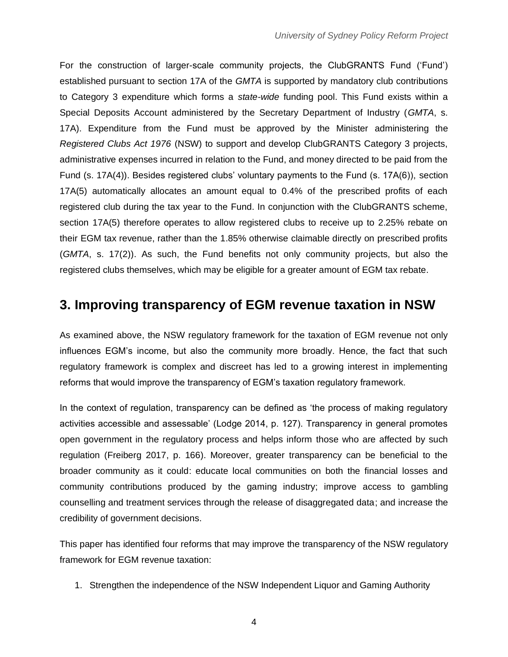For the construction of larger-scale community projects, the ClubGRANTS Fund ('Fund') established pursuant to section 17A of the *GMTA* is supported by mandatory club contributions to Category 3 expenditure which forms a *state-wide* funding pool. This Fund exists within a Special Deposits Account administered by the Secretary Department of Industry (*GMTA*, s. 17A). Expenditure from the Fund must be approved by the Minister administering the *Registered Clubs Act 1976* (NSW) to support and develop ClubGRANTS Category 3 projects, administrative expenses incurred in relation to the Fund, and money directed to be paid from the Fund (s. 17A(4)). Besides registered clubs' voluntary payments to the Fund (s. 17A(6)), section 17A(5) automatically allocates an amount equal to 0.4% of the prescribed profits of each registered club during the tax year to the Fund. In conjunction with the ClubGRANTS scheme, section 17A(5) therefore operates to allow registered clubs to receive up to 2.25% rebate on their EGM tax revenue, rather than the 1.85% otherwise claimable directly on prescribed profits (*GMTA*, s. 17(2)). As such, the Fund benefits not only community projects, but also the registered clubs themselves, which may be eligible for a greater amount of EGM tax rebate.

### <span id="page-5-0"></span>**3. Improving transparency of EGM revenue taxation in NSW**

As examined above, the NSW regulatory framework for the taxation of EGM revenue not only influences EGM's income, but also the community more broadly. Hence, the fact that such regulatory framework is complex and discreet has led to a growing interest in implementing reforms that would improve the transparency of EGM's taxation regulatory framework.

In the context of regulation, transparency can be defined as 'the process of making regulatory activities accessible and assessable' (Lodge 2014, p. 127). Transparency in general promotes open government in the regulatory process and helps inform those who are affected by such regulation (Freiberg 2017, p. 166). Moreover, greater transparency can be beneficial to the broader community as it could: educate local communities on both the financial losses and community contributions produced by the gaming industry; improve access to gambling counselling and treatment services through the release of disaggregated data; and increase the credibility of government decisions.

This paper has identified four reforms that may improve the transparency of the NSW regulatory framework for EGM revenue taxation:

1. Strengthen the independence of the NSW Independent Liquor and Gaming Authority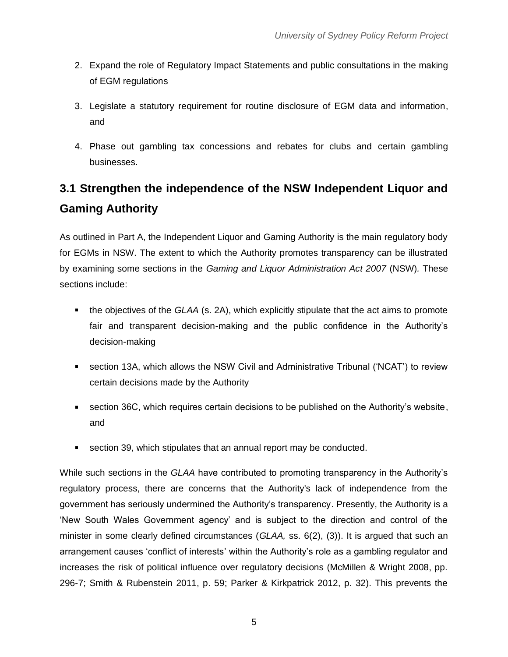- 2. Expand the role of Regulatory Impact Statements and public consultations in the making of EGM regulations
- 3. Legislate a statutory requirement for routine disclosure of EGM data and information, and
- 4. Phase out gambling tax concessions and rebates for clubs and certain gambling businesses.

## <span id="page-6-0"></span>**3.1 Strengthen the independence of the NSW Independent Liquor and Gaming Authority**

As outlined in Part A, the Independent Liquor and Gaming Authority is the main regulatory body for EGMs in NSW. The extent to which the Authority promotes transparency can be illustrated by examining some sections in the *Gaming and Liquor Administration Act 2007* (NSW)*.* These sections include:

- the objectives of the *GLAA* (s. 2A), which explicitly stipulate that the act aims to promote fair and transparent decision-making and the public confidence in the Authority's decision-making
- section 13A, which allows the NSW Civil and Administrative Tribunal ('NCAT') to review certain decisions made by the Authority
- section 36C, which requires certain decisions to be published on the Authority's website, and
- section 39, which stipulates that an annual report may be conducted.

While such sections in the *GLAA* have contributed to promoting transparency in the Authority's regulatory process, there are concerns that the Authority's lack of independence from the government has seriously undermined the Authority's transparency. Presently, the Authority is a 'New South Wales Government agency' and is subject to the direction and control of the minister in some clearly defined circumstances (*GLAA,* ss. 6(2), (3)). It is argued that such an arrangement causes 'conflict of interests' within the Authority's role as a gambling regulator and increases the risk of political influence over regulatory decisions (McMillen & Wright 2008, pp. 296-7; Smith & Rubenstein 2011, p. 59; Parker & Kirkpatrick 2012, p. 32). This prevents the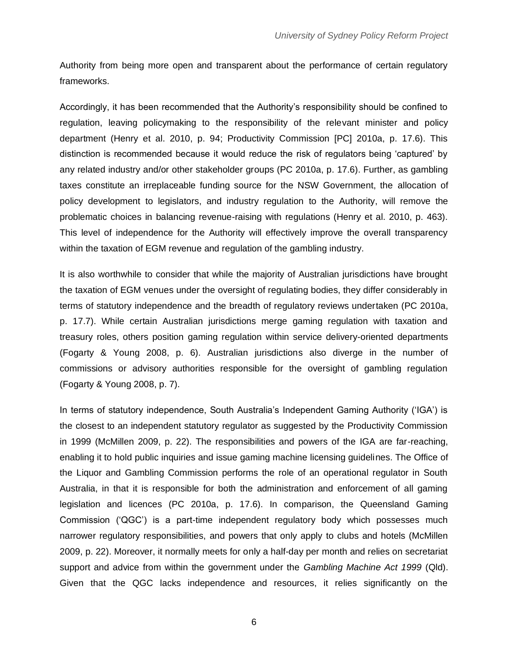Authority from being more open and transparent about the performance of certain regulatory frameworks.

Accordingly, it has been recommended that the Authority's responsibility should be confined to regulation, leaving policymaking to the responsibility of the relevant minister and policy department (Henry et al. 2010, p. 94; Productivity Commission [PC] 2010a, p. 17.6). This distinction is recommended because it would reduce the risk of regulators being 'captured' by any related industry and/or other stakeholder groups (PC 2010a, p. 17.6). Further, as gambling taxes constitute an irreplaceable funding source for the NSW Government, the allocation of policy development to legislators, and industry regulation to the Authority, will remove the problematic choices in balancing revenue-raising with regulations (Henry et al. 2010, p. 463). This level of independence for the Authority will effectively improve the overall transparency within the taxation of EGM revenue and regulation of the gambling industry.

It is also worthwhile to consider that while the majority of Australian jurisdictions have brought the taxation of EGM venues under the oversight of regulating bodies, they differ considerably in terms of statutory independence and the breadth of regulatory reviews undertaken (PC 2010a, p. 17.7). While certain Australian jurisdictions merge gaming regulation with taxation and treasury roles, others position gaming regulation within service delivery-oriented departments (Fogarty & Young 2008, p. 6). Australian jurisdictions also diverge in the number of commissions or advisory authorities responsible for the oversight of gambling regulation (Fogarty & Young 2008, p. 7).

In terms of statutory independence, South Australia's Independent Gaming Authority ('IGA') is the closest to an independent statutory regulator as suggested by the Productivity Commission in 1999 (McMillen 2009, p. 22). The responsibilities and powers of the IGA are far-reaching, enabling it to hold public inquiries and issue gaming machine licensing guidelines. The Office of the Liquor and Gambling Commission performs the role of an operational regulator in South Australia, in that it is responsible for both the administration and enforcement of all gaming legislation and licences (PC 2010a, p. 17.6). In comparison, the Queensland Gaming Commission ('QGC') is a part-time independent regulatory body which possesses much narrower regulatory responsibilities, and powers that only apply to clubs and hotels (McMillen 2009, p. 22). Moreover, it normally meets for only a half-day per month and relies on secretariat support and advice from within the government under the *Gambling Machine Act 1999* (Qld). Given that the QGC lacks independence and resources, it relies significantly on the

6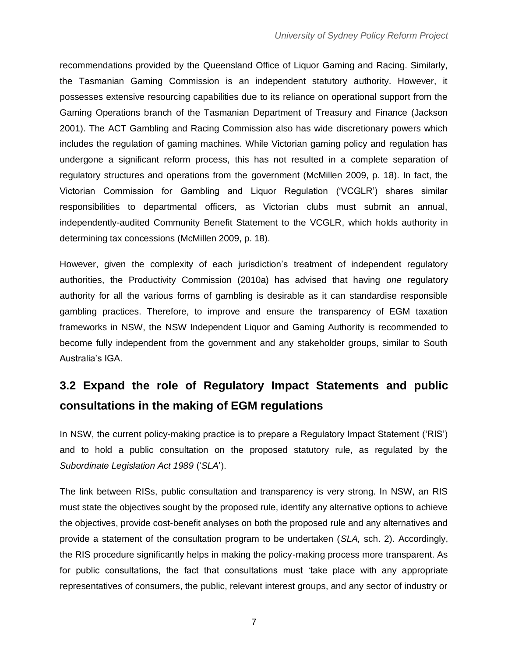recommendations provided by the Queensland Office of Liquor Gaming and Racing. Similarly, the Tasmanian Gaming Commission is an independent statutory authority. However, it possesses extensive resourcing capabilities due to its reliance on operational support from the Gaming Operations branch of the Tasmanian Department of Treasury and Finance (Jackson 2001). The ACT Gambling and Racing Commission also has wide discretionary powers which includes the regulation of gaming machines. While Victorian gaming policy and regulation has undergone a significant reform process, this has not resulted in a complete separation of regulatory structures and operations from the government (McMillen 2009, p. 18). In fact, the Victorian Commission for Gambling and Liquor Regulation ('VCGLR') shares similar responsibilities to departmental officers, as Victorian clubs must submit an annual, independently-audited Community Benefit Statement to the VCGLR, which holds authority in determining tax concessions (McMillen 2009, p. 18).

However, given the complexity of each jurisdiction's treatment of independent regulatory authorities, the Productivity Commission (2010a) has advised that having *one* regulatory authority for all the various forms of gambling is desirable as it can standardise responsible gambling practices. Therefore, to improve and ensure the transparency of EGM taxation frameworks in NSW, the NSW Independent Liquor and Gaming Authority is recommended to become fully independent from the government and any stakeholder groups, similar to South Australia's IGA.

## <span id="page-8-0"></span>**3.2 Expand the role of Regulatory Impact Statements and public consultations in the making of EGM regulations**

In NSW, the current policy-making practice is to prepare a Regulatory Impact Statement ('RIS') and to hold a public consultation on the proposed statutory rule, as regulated by the *Subordinate Legislation Act 1989* ('*SLA*').

The link between RISs, public consultation and transparency is very strong. In NSW, an RIS must state the objectives sought by the proposed rule, identify any alternative options to achieve the objectives, provide cost-benefit analyses on both the proposed rule and any alternatives and provide a statement of the consultation program to be undertaken (*SLA,* sch. 2). Accordingly, the RIS procedure significantly helps in making the policy-making process more transparent. As for public consultations, the fact that consultations must 'take place with any appropriate representatives of consumers, the public, relevant interest groups, and any sector of industry or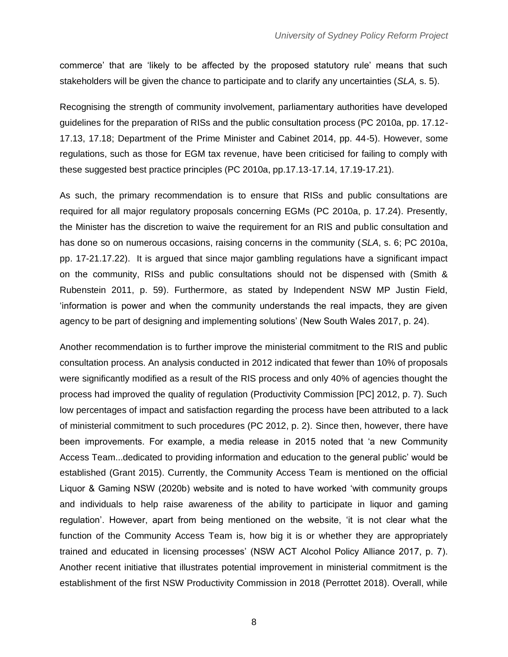commerce' that are 'likely to be affected by the proposed statutory rule' means that such stakeholders will be given the chance to participate and to clarify any uncertainties (*SLA,* s. 5).

Recognising the strength of community involvement, parliamentary authorities have developed guidelines for the preparation of RISs and the public consultation process (PC 2010a, pp. 17.12- 17.13, 17.18; Department of the Prime Minister and Cabinet 2014, pp. 44-5). However, some regulations, such as those for EGM tax revenue, have been criticised for failing to comply with these suggested best practice principles (PC 2010a, pp.17.13-17.14, 17.19-17.21).

As such, the primary recommendation is to ensure that RISs and public consultations are required for all major regulatory proposals concerning EGMs (PC 2010a, p. 17.24). Presently, the Minister has the discretion to waive the requirement for an RIS and public consultation and has done so on numerous occasions, raising concerns in the community (*SLA*, s. 6; PC 2010a, pp. 17-21.17.22). It is argued that since major gambling regulations have a significant impact on the community, RISs and public consultations should not be dispensed with (Smith & Rubenstein 2011, p. 59). Furthermore, as stated by Independent NSW MP Justin Field, 'information is power and when the community understands the real impacts, they are given agency to be part of designing and implementing solutions' (New South Wales 2017, p. 24).

Another recommendation is to further improve the ministerial commitment to the RIS and public consultation process. An analysis conducted in 2012 indicated that fewer than 10% of proposals were significantly modified as a result of the RIS process and only 40% of agencies thought the process had improved the quality of regulation (Productivity Commission [PC] 2012, p. 7). Such low percentages of impact and satisfaction regarding the process have been attributed to a lack of ministerial commitment to such procedures (PC 2012, p. 2). Since then, however, there have been improvements. For example, a media release in 2015 noted that 'a new Community Access Team...dedicated to providing information and education to the general public' would be established (Grant 2015). Currently, the Community Access Team is mentioned on the official Liquor & Gaming NSW (2020b) website and is noted to have worked 'with community groups and individuals to help raise awareness of the ability to participate in liquor and gaming regulation'. However, apart from being mentioned on the website, 'it is not clear what the function of the Community Access Team is, how big it is or whether they are appropriately trained and educated in licensing processes' (NSW ACT Alcohol Policy Alliance 2017, p. 7). Another recent initiative that illustrates potential improvement in ministerial commitment is the establishment of the first NSW Productivity Commission in 2018 (Perrottet 2018). Overall, while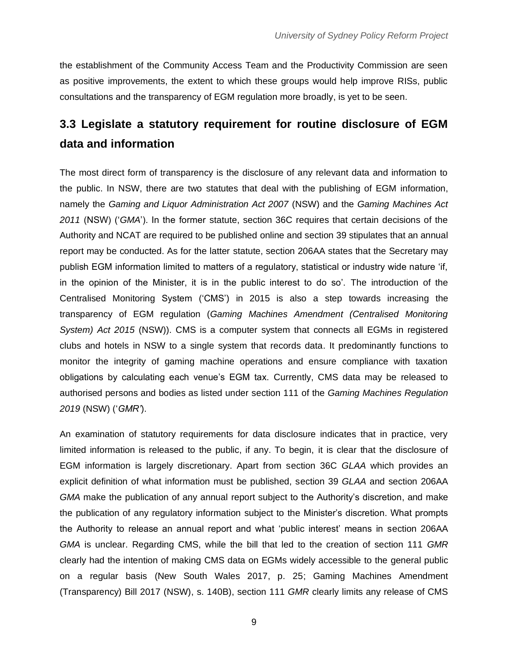the establishment of the Community Access Team and the Productivity Commission are seen as positive improvements, the extent to which these groups would help improve RISs, public consultations and the transparency of EGM regulation more broadly, is yet to be seen.

## <span id="page-10-0"></span>**3.3 Legislate a statutory requirement for routine disclosure of EGM data and information**

The most direct form of transparency is the disclosure of any relevant data and information to the public. In NSW, there are two statutes that deal with the publishing of EGM information, namely the *Gaming and Liquor Administration Act 2007* (NSW) and the *Gaming Machines Act 2011* (NSW) ('*GMA*'). In the former statute, section 36C requires that certain decisions of the Authority and NCAT are required to be published online and section 39 stipulates that an annual report may be conducted. As for the latter statute, section 206AA states that the Secretary may publish EGM information limited to matters of a regulatory, statistical or industry wide nature 'if, in the opinion of the Minister, it is in the public interest to do so'. The introduction of the Centralised Monitoring System ('CMS') in 2015 is also a step towards increasing the transparency of EGM regulation (*Gaming Machines Amendment (Centralised Monitoring System) Act 2015* (NSW)). CMS is a computer system that connects all EGMs in registered clubs and hotels in NSW to a single system that records data. It predominantly functions to monitor the integrity of gaming machine operations and ensure compliance with taxation obligations by calculating each venue's EGM tax. Currently, CMS data may be released to authorised persons and bodies as listed under section 111 of the *Gaming Machines Regulation 2019* (NSW) ('*GMR'*).

An examination of statutory requirements for data disclosure indicates that in practice, very limited information is released to the public, if any. To begin, it is clear that the disclosure of EGM information is largely discretionary. Apart from section 36C *GLAA* which provides an explicit definition of what information must be published, section 39 *GLAA* and section 206AA *GMA* make the publication of any annual report subject to the Authority's discretion, and make the publication of any regulatory information subject to the Minister's discretion. What prompts the Authority to release an annual report and what 'public interest' means in section 206AA *GMA* is unclear. Regarding CMS, while the bill that led to the creation of section 111 *GMR*  clearly had the intention of making CMS data on EGMs widely accessible to the general public on a regular basis (New South Wales 2017, p. 25; Gaming Machines Amendment (Transparency) Bill 2017 (NSW), s. 140B), section 111 *GMR* clearly limits any release of CMS

9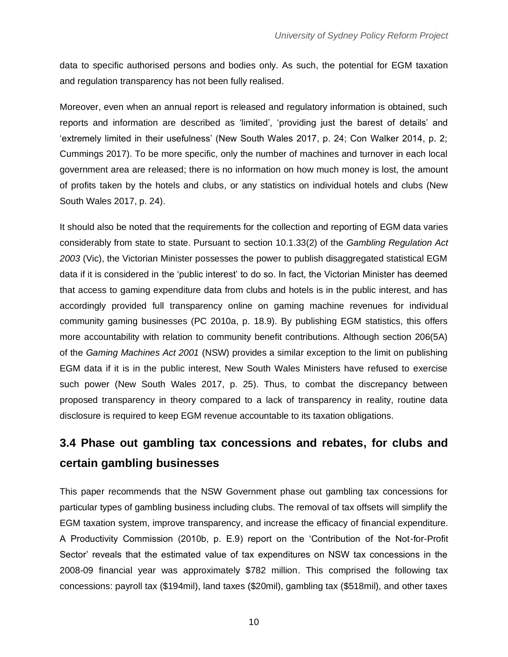data to specific authorised persons and bodies only. As such, the potential for EGM taxation and regulation transparency has not been fully realised.

Moreover, even when an annual report is released and regulatory information is obtained, such reports and information are described as 'limited', 'providing just the barest of details' and 'extremely limited in their usefulness' (New South Wales 2017, p. 24; Con Walker 2014, p. 2; Cummings 2017). To be more specific, only the number of machines and turnover in each local government area are released; there is no information on how much money is lost, the amount of profits taken by the hotels and clubs, or any statistics on individual hotels and clubs (New South Wales 2017, p. 24).

It should also be noted that the requirements for the collection and reporting of EGM data varies considerably from state to state. Pursuant to section 10.1.33(2) of the *Gambling Regulation Act 2003* (Vic), the Victorian Minister possesses the power to publish disaggregated statistical EGM data if it is considered in the 'public interest' to do so. In fact, the Victorian Minister has deemed that access to gaming expenditure data from clubs and hotels is in the public interest, and has accordingly provided full transparency online on gaming machine revenues for individual community gaming businesses (PC 2010a, p. 18.9). By publishing EGM statistics, this offers more accountability with relation to community benefit contributions. Although section 206(5A) of the *Gaming Machines Act 2001* (NSW) provides a similar exception to the limit on publishing EGM data if it is in the public interest, New South Wales Ministers have refused to exercise such power (New South Wales 2017, p. 25). Thus, to combat the discrepancy between proposed transparency in theory compared to a lack of transparency in reality, routine data disclosure is required to keep EGM revenue accountable to its taxation obligations.

## <span id="page-11-0"></span>**3.4 Phase out gambling tax concessions and rebates, for clubs and certain gambling businesses**

This paper recommends that the NSW Government phase out gambling tax concessions for particular types of gambling business including clubs. The removal of tax offsets will simplify the EGM taxation system, improve transparency, and increase the efficacy of financial expenditure. A Productivity Commission (2010b, p. E.9) report on the 'Contribution of the Not-for-Profit Sector' reveals that the estimated value of tax expenditures on NSW tax concessions in the 2008-09 financial year was approximately \$782 million. This comprised the following tax concessions: payroll tax (\$194mil), land taxes (\$20mil), gambling tax (\$518mil), and other taxes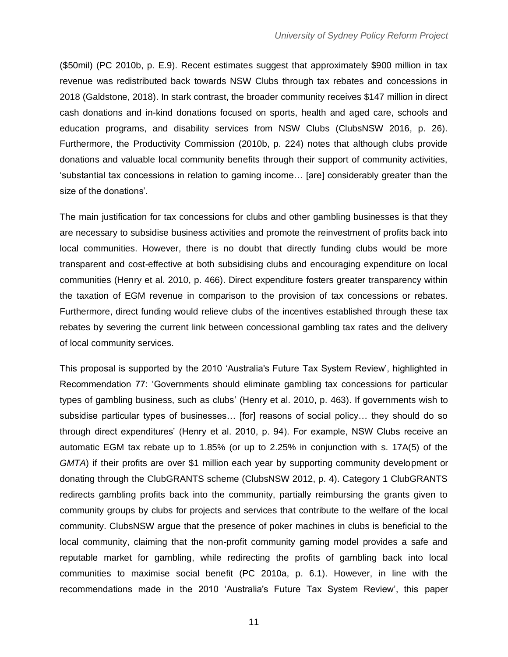(\$50mil) (PC 2010b, p. E.9). Recent estimates suggest that approximately \$900 million in tax revenue was redistributed back towards NSW Clubs through tax rebates and concessions in 2018 (Galdstone, 2018). In stark contrast, the broader community receives \$147 million in direct cash donations and in-kind donations focused on sports, health and aged care, schools and education programs, and disability services from NSW Clubs (ClubsNSW 2016, p. 26). Furthermore, the Productivity Commission (2010b, p. 224) notes that although clubs provide donations and valuable local community benefits through their support of community activities, 'substantial tax concessions in relation to gaming income… [are] considerably greater than the size of the donations'.

The main justification for tax concessions for clubs and other gambling businesses is that they are necessary to subsidise business activities and promote the reinvestment of profits back into local communities. However, there is no doubt that directly funding clubs would be more transparent and cost-effective at both subsidising clubs and encouraging expenditure on local communities (Henry et al. 2010, p. 466). Direct expenditure fosters greater transparency within the taxation of EGM revenue in comparison to the provision of tax concessions or rebates. Furthermore, direct funding would relieve clubs of the incentives established through these tax rebates by severing the current link between concessional gambling tax rates and the delivery of local community services.

This proposal is supported by the 2010 'Australia's Future Tax System Review', highlighted in Recommendation 77: 'Governments should eliminate gambling tax concessions for particular types of gambling business, such as clubs' (Henry et al. 2010, p. 463). If governments wish to subsidise particular types of businesses… [for] reasons of social policy… they should do so through direct expenditures' (Henry et al. 2010, p. 94). For example, NSW Clubs receive an automatic EGM tax rebate up to 1.85% (or up to 2.25% in conjunction with s. 17A(5) of the *GMTA*) if their profits are over \$1 million each year by supporting community development or donating through the ClubGRANTS scheme (ClubsNSW 2012, p. 4). Category 1 ClubGRANTS redirects gambling profits back into the community, partially reimbursing the grants given to community groups by clubs for projects and services that contribute to the welfare of the local community. ClubsNSW argue that the presence of poker machines in clubs is beneficial to the local community, claiming that the non-profit community gaming model provides a safe and reputable market for gambling, while redirecting the profits of gambling back into local communities to maximise social benefit (PC 2010a, p. 6.1). However, in line with the recommendations made in the 2010 'Australia's Future Tax System Review', this paper

11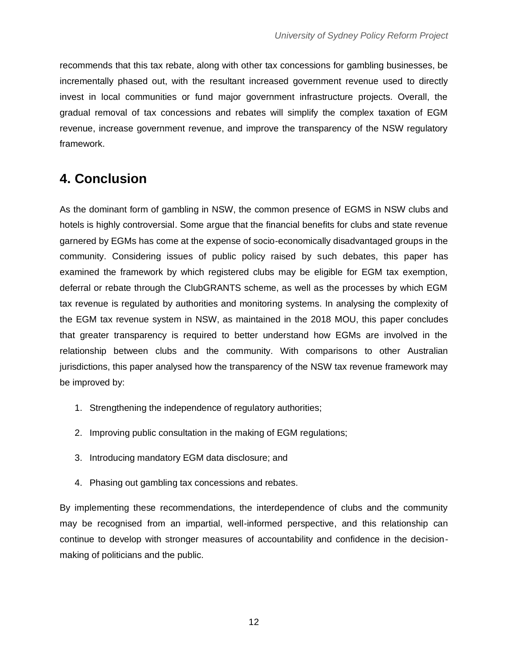recommends that this tax rebate, along with other tax concessions for gambling businesses, be incrementally phased out, with the resultant increased government revenue used to directly invest in local communities or fund major government infrastructure projects. Overall, the gradual removal of tax concessions and rebates will simplify the complex taxation of EGM revenue, increase government revenue, and improve the transparency of the NSW regulatory framework.

## <span id="page-13-0"></span>**4. Conclusion**

As the dominant form of gambling in NSW, the common presence of EGMS in NSW clubs and hotels is highly controversial. Some argue that the financial benefits for clubs and state revenue garnered by EGMs has come at the expense of socio-economically disadvantaged groups in the community. Considering issues of public policy raised by such debates, this paper has examined the framework by which registered clubs may be eligible for EGM tax exemption, deferral or rebate through the ClubGRANTS scheme, as well as the processes by which EGM tax revenue is regulated by authorities and monitoring systems. In analysing the complexity of the EGM tax revenue system in NSW, as maintained in the 2018 MOU, this paper concludes that greater transparency is required to better understand how EGMs are involved in the relationship between clubs and the community. With comparisons to other Australian jurisdictions, this paper analysed how the transparency of the NSW tax revenue framework may be improved by:

- 1. Strengthening the independence of regulatory authorities;
- 2. Improving public consultation in the making of EGM regulations;
- 3. Introducing mandatory EGM data disclosure; and
- 4. Phasing out gambling tax concessions and rebates.

By implementing these recommendations, the interdependence of clubs and the community may be recognised from an impartial, well-informed perspective, and this relationship can continue to develop with stronger measures of accountability and confidence in the decisionmaking of politicians and the public.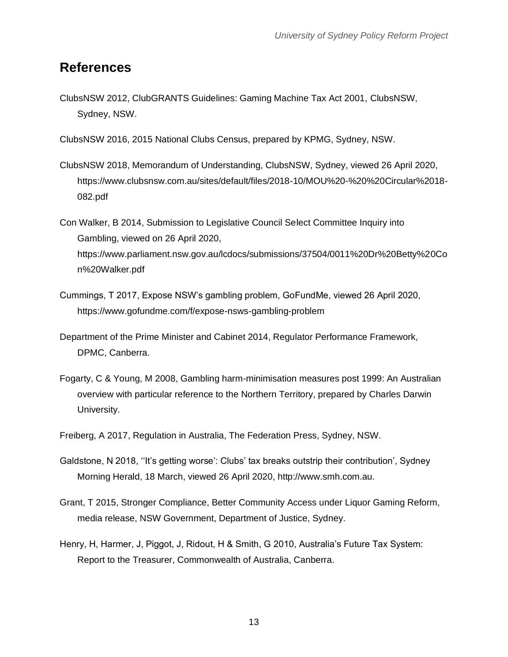### <span id="page-14-0"></span>**References**

- ClubsNSW 2012, ClubGRANTS Guidelines: Gaming Machine Tax Act 2001, ClubsNSW, Sydney, NSW.
- ClubsNSW 2016, 2015 National Clubs Census, prepared by KPMG, Sydney, NSW.
- ClubsNSW 2018, Memorandum of Understanding, ClubsNSW, Sydney, viewed 26 April 2020, [https://www.clubsnsw.com.au/sites/default/files/2018-10/MOU%20-%20%20Circular%2018-](https://www.clubsnsw.com.au/sites/default/files/2018-10/MOU%20-%20%20Circular%2018-082.pdf) [082.pdf](https://www.clubsnsw.com.au/sites/default/files/2018-10/MOU%20-%20%20Circular%2018-082.pdf)
- Con Walker, B 2014, Submission to Legislative Council Select Committee Inquiry into Gambling, viewed on 26 April 2020, [https://www.parliament.nsw.gov.au/lcdocs/submissions/37504/0011%20Dr%20Betty%20Co](https://www.parliament.nsw.gov.au/lcdocs/submissions/37504/0011%20Dr%20Betty%20Con%20Walker.pdf) [n%20Walker.pdf](https://www.parliament.nsw.gov.au/lcdocs/submissions/37504/0011%20Dr%20Betty%20Con%20Walker.pdf)
- Cummings, T 2017, Expose NSW's gambling problem, GoFundMe, viewed 26 April 2020, <https://www.gofundme.com/f/expose-nsws-gambling-problem>
- Department of the Prime Minister and Cabinet 2014, Regulator Performance Framework, DPMC, Canberra.
- Fogarty, C & Young, M 2008, Gambling harm-minimisation measures post 1999: An Australian overview with particular reference to the Northern Territory, prepared by Charles Darwin University.
- Freiberg, A 2017, Regulation in Australia, The Federation Press, Sydney, NSW.
- Galdstone, N 2018, ''It's getting worse': Clubs' tax breaks outstrip their contribution', Sydney Morning Herald, 18 March, viewed 26 April 2020, http://www.smh.com.au.
- Grant, T 2015, Stronger Compliance, Better Community Access under Liquor Gaming Reform, media release, NSW Government, Department of Justice, Sydney.
- Henry, H, Harmer, J, Piggot, J, Ridout, H & Smith, G 2010, Australia's Future Tax System: Report to the Treasurer, Commonwealth of Australia, Canberra.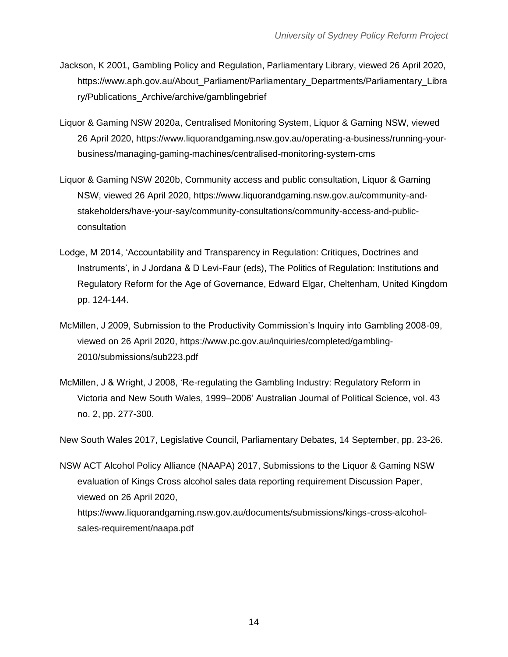- Jackson, K 2001, Gambling Policy and Regulation, Parliamentary Library, viewed 26 April 2020, [https://www.aph.gov.au/About\\_Parliament/Parliamentary\\_Departments/Parliamentary\\_Libra](https://www.aph.gov.au/About_Parliament/Parliamentary_Departments/Parliamentary_Library/Publications_Archive/archive/gamblingebrief) [ry/Publications\\_Archive/archive/gamblingebrief](https://www.aph.gov.au/About_Parliament/Parliamentary_Departments/Parliamentary_Library/Publications_Archive/archive/gamblingebrief)
- Liquor & Gaming NSW 2020a, Centralised Monitoring System, Liquor & Gaming NSW, viewed 26 April 2020, [https://www.liquorandgaming.nsw.gov.au/operating-a-business/running-your](https://www.liquorandgaming.nsw.gov.au/operating-a-business/running-your-business/managing-gaming-machines/centralised-monitoring-system-cms)[business/managing-gaming-machines/centralised-monitoring-system-cms](https://www.liquorandgaming.nsw.gov.au/operating-a-business/running-your-business/managing-gaming-machines/centralised-monitoring-system-cms)
- Liquor & Gaming NSW 2020b, Community access and public consultation, Liquor & Gaming NSW, viewed 26 April 2020, [https://www.liquorandgaming.nsw.gov.au/community-and](https://www.liquorandgaming.nsw.gov.au/community-and-stakeholders/have-your-say/community-consultations/community-access-and-public-consultation)[stakeholders/have-your-say/community-consultations/community-access-and-public](https://www.liquorandgaming.nsw.gov.au/community-and-stakeholders/have-your-say/community-consultations/community-access-and-public-consultation)[consultation](https://www.liquorandgaming.nsw.gov.au/community-and-stakeholders/have-your-say/community-consultations/community-access-and-public-consultation)
- Lodge, M 2014, 'Accountability and Transparency in Regulation: Critiques, Doctrines and Instruments', in J Jordana & D Levi-Faur (eds), The Politics of Regulation: Institutions and Regulatory Reform for the Age of Governance, Edward Elgar, Cheltenham, United Kingdom pp. 124-144.
- McMillen, J 2009, Submission to the Productivity Commission's Inquiry into Gambling 2008-09, viewed on 26 April 2020, [https://www.pc.gov.au/inquiries/completed/gambling-](https://www.pc.gov.au/inquiries/completed/gambling-2010/submissions/sub223.pdf)[2010/submissions/sub223.pdf](https://www.pc.gov.au/inquiries/completed/gambling-2010/submissions/sub223.pdf)
- McMillen, J & Wright, J 2008, 'Re-regulating the Gambling Industry: Regulatory Reform in Victoria and New South Wales, 1999–2006' Australian Journal of Political Science, vol. 43 no. 2, pp. 277-300.

New South Wales 2017, Legislative Council, Parliamentary Debates, 14 September, pp. 23-26.

NSW ACT Alcohol Policy Alliance (NAAPA) 2017, Submissions to the Liquor & Gaming NSW evaluation of Kings Cross alcohol sales data reporting requirement Discussion Paper, viewed on 26 April 2020, [https://www.liquorandgaming.nsw.gov.au/documents/submissions/kings-cross-alcohol](https://www.liquorandgaming.nsw.gov.au/documents/submissions/kings-cross-alcohol-sales-requirement/naapa.pdf)[sales-requirement/naapa.pdf](https://www.liquorandgaming.nsw.gov.au/documents/submissions/kings-cross-alcohol-sales-requirement/naapa.pdf)